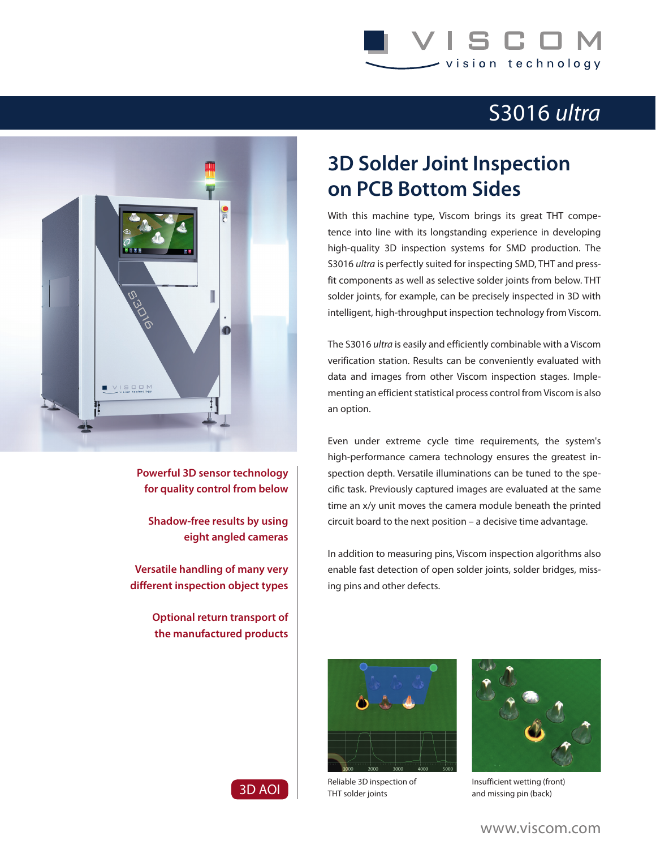## S C I vision technology

## S3016 *ultra*



**Powerful 3D sensor technology for quality control from below**

**Shadow-free results by using eight angled cameras**

**Versatile handling of many very different inspection object types**

> **Optional return transport of the manufactured products**

## **3D Solder Joint Inspection on PCB Bottom Sides**

With this machine type, Viscom brings its great THT competence into line with its longstanding experience in developing high-quality 3D inspection systems for SMD production. The S3016 *ultra* is perfectly suited for inspecting SMD, THT and pressfit components as well as selective solder joints from below. THT solder joints, for example, can be precisely inspected in 3D with intelligent, high-throughput inspection technology from Viscom.

The S3016 *ultra* is easily and efficiently combinable with a Viscom verification station. Results can be conveniently evaluated with data and images from other Viscom inspection stages. Implementing an efficient statistical process control from Viscom is also an option.

Even under extreme cycle time requirements, the system's high-performance camera technology ensures the greatest inspection depth. Versatile illuminations can be tuned to the specific task. Previously captured images are evaluated at the same time an x/y unit moves the camera module beneath the printed circuit board to the next position – a decisive time advantage.

In addition to measuring pins, Viscom inspection algorithms also enable fast detection of open solder joints, solder bridges, missing pins and other defects.



Reliable 3D inspection of THT solder joints



Insufficient wetting (front) and missing pin (back)